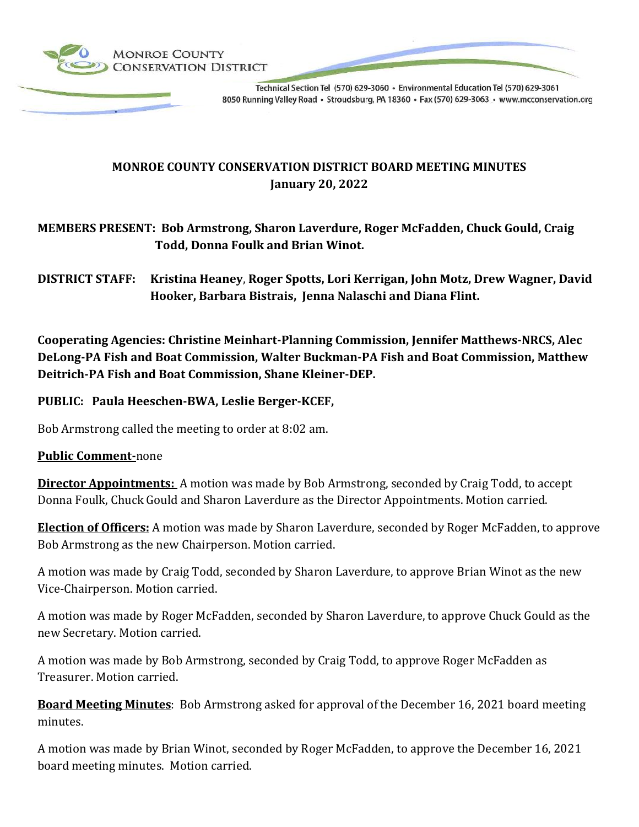

Technical Section Tel (570) 629-3060 · Environmental Education Tel (570) 629-3061 8050 Running Valley Road · Stroudsburg, PA 18360 · Fax (570) 629-3063 · www.mcconservation.org

# **MONROE COUNTY CONSERVATION DISTRICT BOARD MEETING MINUTES January 20, 2022**

## **MEMBERS PRESENT: Bob Armstrong, Sharon Laverdure, Roger McFadden, Chuck Gould, Craig Todd, Donna Foulk and Brian Winot.**

**DISTRICT STAFF: Kristina Heaney**, **Roger Spotts, Lori Kerrigan, John Motz, Drew Wagner, David Hooker, Barbara Bistrais, Jenna Nalaschi and Diana Flint.**

**Cooperating Agencies: Christine Meinhart-Planning Commission, Jennifer Matthews-NRCS, Alec DeLong-PA Fish and Boat Commission, Walter Buckman-PA Fish and Boat Commission, Matthew Deitrich-PA Fish and Boat Commission, Shane Kleiner-DEP.**

**PUBLIC: Paula Heeschen-BWA, Leslie Berger-KCEF,**

Bob Armstrong called the meeting to order at 8:02 am.

### **Public Comment-**none

**Director Appointments:** A motion was made by Bob Armstrong, seconded by Craig Todd, to accept Donna Foulk, Chuck Gould and Sharon Laverdure as the Director Appointments. Motion carried.

**Election of Officers:** A motion was made by Sharon Laverdure, seconded by Roger McFadden, to approve Bob Armstrong as the new Chairperson. Motion carried.

A motion was made by Craig Todd, seconded by Sharon Laverdure, to approve Brian Winot as the new Vice-Chairperson. Motion carried.

A motion was made by Roger McFadden, seconded by Sharon Laverdure, to approve Chuck Gould as the new Secretary. Motion carried.

A motion was made by Bob Armstrong, seconded by Craig Todd, to approve Roger McFadden as Treasurer. Motion carried.

**Board Meeting Minutes**: Bob Armstrong asked for approval of the December 16, 2021 board meeting minutes.

A motion was made by Brian Winot, seconded by Roger McFadden, to approve the December 16, 2021 board meeting minutes. Motion carried.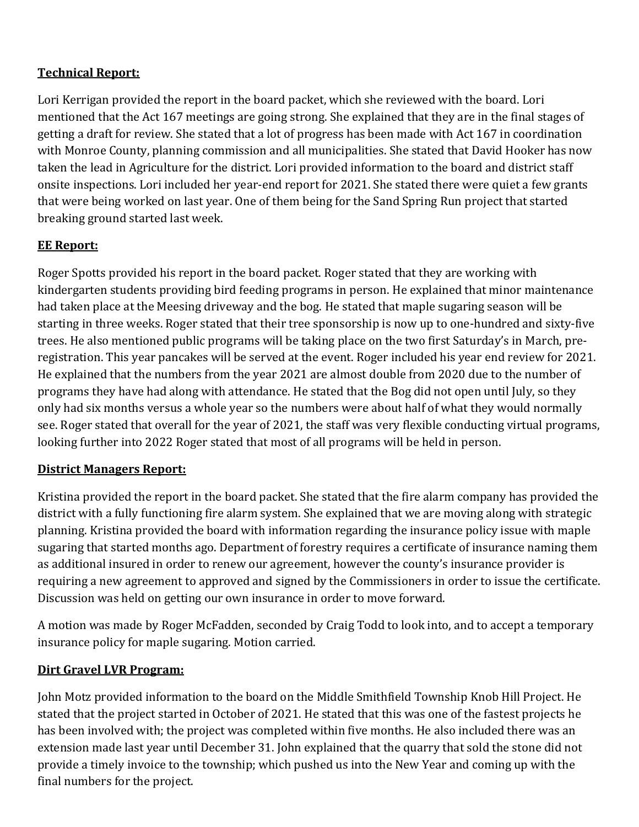## **Technical Report:**

Lori Kerrigan provided the report in the board packet, which she reviewed with the board. Lori mentioned that the Act 167 meetings are going strong. She explained that they are in the final stages of getting a draft for review. She stated that a lot of progress has been made with Act 167 in coordination with Monroe County, planning commission and all municipalities. She stated that David Hooker has now taken the lead in Agriculture for the district. Lori provided information to the board and district staff onsite inspections. Lori included her year-end report for 2021. She stated there were quiet a few grants that were being worked on last year. One of them being for the Sand Spring Run project that started breaking ground started last week.

## **EE Report:**

Roger Spotts provided his report in the board packet. Roger stated that they are working with kindergarten students providing bird feeding programs in person. He explained that minor maintenance had taken place at the Meesing driveway and the bog. He stated that maple sugaring season will be starting in three weeks. Roger stated that their tree sponsorship is now up to one-hundred and sixty-five trees. He also mentioned public programs will be taking place on the two first Saturday's in March, preregistration. This year pancakes will be served at the event. Roger included his year end review for 2021. He explained that the numbers from the year 2021 are almost double from 2020 due to the number of programs they have had along with attendance. He stated that the Bog did not open until July, so they only had six months versus a whole year so the numbers were about half of what they would normally see. Roger stated that overall for the year of 2021, the staff was very flexible conducting virtual programs, looking further into 2022 Roger stated that most of all programs will be held in person.

### **District Managers Report:**

Kristina provided the report in the board packet. She stated that the fire alarm company has provided the district with a fully functioning fire alarm system. She explained that we are moving along with strategic planning. Kristina provided the board with information regarding the insurance policy issue with maple sugaring that started months ago. Department of forestry requires a certificate of insurance naming them as additional insured in order to renew our agreement, however the county's insurance provider is requiring a new agreement to approved and signed by the Commissioners in order to issue the certificate. Discussion was held on getting our own insurance in order to move forward.

A motion was made by Roger McFadden, seconded by Craig Todd to look into, and to accept a temporary insurance policy for maple sugaring. Motion carried.

## **Dirt Gravel LVR Program:**

John Motz provided information to the board on the Middle Smithfield Township Knob Hill Project. He stated that the project started in October of 2021. He stated that this was one of the fastest projects he has been involved with; the project was completed within five months. He also included there was an extension made last year until December 31. John explained that the quarry that sold the stone did not provide a timely invoice to the township; which pushed us into the New Year and coming up with the final numbers for the project.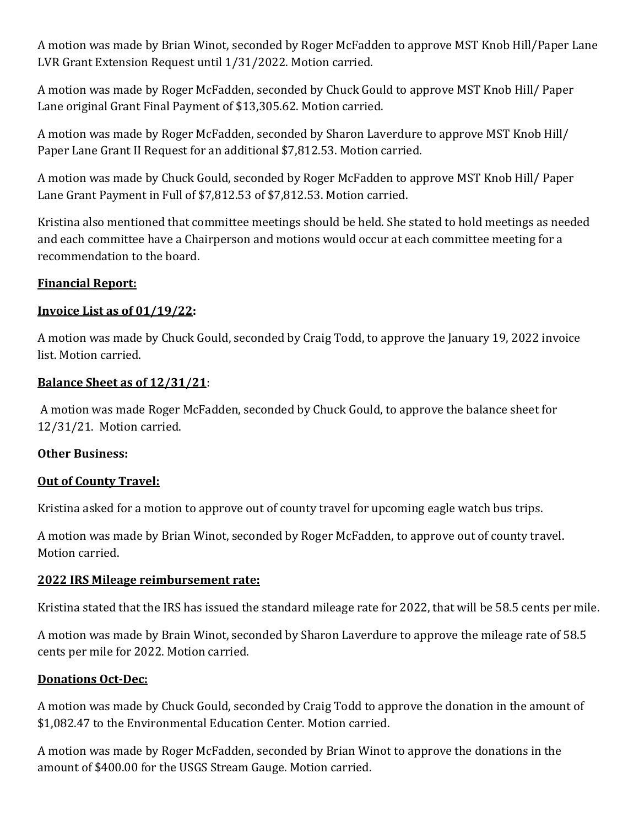A motion was made by Brian Winot, seconded by Roger McFadden to approve MST Knob Hill/Paper Lane LVR Grant Extension Request until 1/31/2022. Motion carried.

A motion was made by Roger McFadden, seconded by Chuck Gould to approve MST Knob Hill/ Paper Lane original Grant Final Payment of \$13,305.62. Motion carried.

A motion was made by Roger McFadden, seconded by Sharon Laverdure to approve MST Knob Hill/ Paper Lane Grant II Request for an additional \$7,812.53. Motion carried.

A motion was made by Chuck Gould, seconded by Roger McFadden to approve MST Knob Hill/ Paper Lane Grant Payment in Full of \$7,812.53 of \$7,812.53. Motion carried.

Kristina also mentioned that committee meetings should be held. She stated to hold meetings as needed and each committee have a Chairperson and motions would occur at each committee meeting for a recommendation to the board.

### **Financial Report:**

#### **Invoice List as of 01/19/22:**

A motion was made by Chuck Gould, seconded by Craig Todd, to approve the January 19, 2022 invoice list. Motion carried.

#### **Balance Sheet as of 12/31/21**:

A motion was made Roger McFadden, seconded by Chuck Gould, to approve the balance sheet for 12/31/21. Motion carried.

#### **Other Business:**

### **Out of County Travel:**

Kristina asked for a motion to approve out of county travel for upcoming eagle watch bus trips.

A motion was made by Brian Winot, seconded by Roger McFadden, to approve out of county travel. Motion carried.

#### **2022 IRS Mileage reimbursement rate:**

Kristina stated that the IRS has issued the standard mileage rate for 2022, that will be 58.5 cents per mile.

A motion was made by Brain Winot, seconded by Sharon Laverdure to approve the mileage rate of 58.5 cents per mile for 2022. Motion carried.

#### **Donations Oct-Dec:**

A motion was made by Chuck Gould, seconded by Craig Todd to approve the donation in the amount of \$1,082.47 to the Environmental Education Center. Motion carried.

A motion was made by Roger McFadden, seconded by Brian Winot to approve the donations in the amount of \$400.00 for the USGS Stream Gauge. Motion carried.